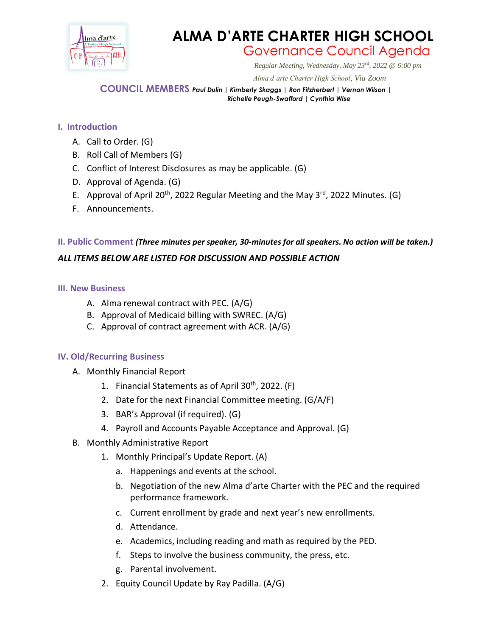

# **ALMA D'ARTE CHARTER HIGH SCHOOL**

### Governance Council Agenda

*Regular Meeting, Wednesday, May 23rd, 2022 @ 6:00 pm*

 *Alma d'arte Charter High School, Via Zoom*

**COUNCIL MEMBERS** *Paul Dulin | Kimberly Skaggs | Ron Fitzherbert <sup>|</sup> Vernon Wilson | Richelle Peugh-Swafford | Cynthia Wise*

#### **I. Introduction**

- A. Call to Order. (G)
- B. Roll Call of Members (G)
- C. Conflict of Interest Disclosures as may be applicable. (G)
- D. Approval of Agenda. (G)
- E. Approval of April 20<sup>th</sup>, 2022 Regular Meeting and the May 3<sup>rd</sup>, 2022 Minutes. (G)
- F. Announcements.

## **II. Public Comment** *(Three minutes per speaker, 30-minutes for all speakers. No action will be taken.) ALL ITEMS BELOW ARE LISTED FOR DISCUSSION AND POSSIBLE ACTION*

#### **III. New Business**

- A. Alma renewal contract with PEC. (A/G)
- B. Approval of Medicaid billing with SWREC. (A/G)
- C. Approval of contract agreement with ACR. (A/G)

#### **IV. Old/Recurring Business**

- A. Monthly Financial Report
	- 1. Financial Statements as of April 30<sup>th</sup>, 2022. (F)
	- 2. Date for the next Financial Committee meeting. (G/A/F)
	- 3. BAR's Approval (if required). (G)
	- 4. Payroll and Accounts Payable Acceptance and Approval. (G)
- B. Monthly Administrative Report
	- 1. Monthly Principal's Update Report. (A)
		- a. Happenings and events at the school.
		- b. Negotiation of the new Alma d'arte Charter with the PEC and the required performance framework.
		- c. Current enrollment by grade and next year's new enrollments.
		- d. Attendance.
		- e. Academics, including reading and math as required by the PED.
		- f. Steps to involve the business community, the press, etc.
		- g. Parental involvement.
	- 2. Equity Council Update by Ray Padilla. (A/G)